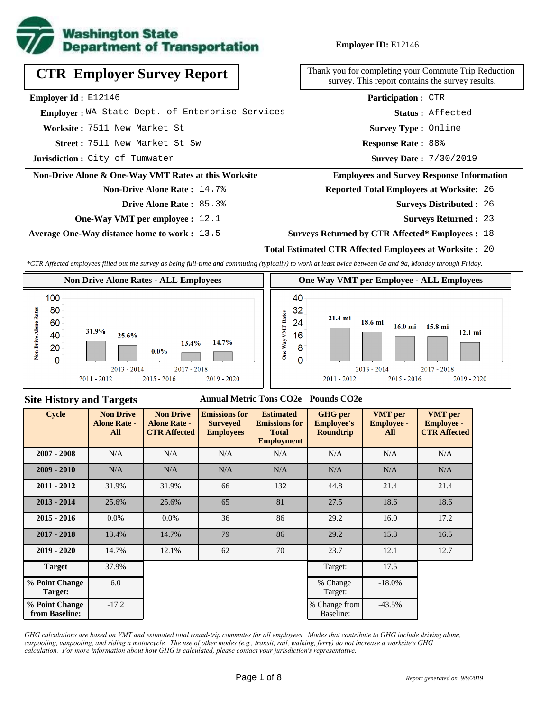

**Employer ID:** E12146

|  | <b>CTR Employer Survey Report</b> |  |  |
|--|-----------------------------------|--|--|
|--|-----------------------------------|--|--|

**Employer Id :** E12146

 **Employer :** WA State Dept. of Enterprise Services

**Worksite :** 7511 New Market St

7511 New Market St Sw **Response Rate : Street :**

**Jurisdiction :** City of Tumwater

#### **Non-Drive Alone & One-Way VMT Rates at this Worksite**

## **Non-Drive Alone Rate :** 14.7%

**Drive Alone Rate :** 85.3%

**One-Way VMT per employee :** 12.1

**Average One-Way distance home to work :** 13.5

Thank you for completing your Commute Trip Reduction survey. This report contains the survey results.

> Response Rate: 88% **Survey Type :** Online **Status :** Affected **Participation :** CTR

Survey Date: 7/30/2019

#### **Employees and Survey Response Information**

**Reported Total Employees at Worksite:** 26

- 26 **Surveys Distributed :**
	- **Surveys Returned :** 23

#### **Surveys Returned by CTR Affected\* Employees :** 18

### **Total Estimated CTR Affected Employees at Worksite :** 20

*\*CTR Affected employees filled out the survey as being full-time and commuting (typically) to work at least twice between 6a and 9a, Monday through Friday.*



#### **Site History and Targets**

#### **Annual Metric Tons CO2e Pounds CO2e**

| <b>Cycle</b>                     | <b>Non Drive</b><br><b>Alone Rate -</b><br>All | <b>Non Drive</b><br><b>Alone Rate -</b><br><b>CTR Affected</b> | <b>Emissions for</b><br><b>Surveyed</b><br><b>Employees</b> | <b>Estimated</b><br><b>Emissions for</b><br><b>Total</b><br><b>Employment</b> | <b>GHG</b> per<br><b>Employee's</b><br><b>Roundtrip</b> | <b>VMT</b> per<br><b>Employee -</b><br>All | <b>VMT</b> per<br><b>Employee -</b><br><b>CTR Affected</b> |
|----------------------------------|------------------------------------------------|----------------------------------------------------------------|-------------------------------------------------------------|-------------------------------------------------------------------------------|---------------------------------------------------------|--------------------------------------------|------------------------------------------------------------|
| $2007 - 2008$                    | N/A                                            | N/A                                                            | N/A<br>N/A                                                  |                                                                               | N/A                                                     | N/A                                        | N/A                                                        |
| $2009 - 2010$                    | N/A                                            | N/A                                                            | N/A                                                         | N/A                                                                           | N/A                                                     | N/A                                        | N/A                                                        |
| $2011 - 2012$                    | 31.9%                                          | 31.9%                                                          | 66                                                          | 132                                                                           | 44.8                                                    | 21.4                                       | 21.4                                                       |
| $2013 - 2014$                    | 25.6%                                          | 25.6%                                                          | 65                                                          | 81                                                                            | 27.5                                                    | 18.6                                       | 18.6                                                       |
| $2015 - 2016$                    | $0.0\%$                                        | $0.0\%$                                                        | 36                                                          | 86                                                                            | 29.2                                                    | 16.0                                       | 17.2                                                       |
| $2017 - 2018$                    | 13.4%                                          | 14.7%                                                          | 79                                                          | 86                                                                            | 29.2                                                    | 15.8                                       | 16.5                                                       |
| $2019 - 2020$                    | 14.7%                                          | 12.1%                                                          | 62                                                          | 70                                                                            | 23.7                                                    | 12.1                                       | 12.7                                                       |
| <b>Target</b>                    | 37.9%                                          |                                                                |                                                             |                                                                               | Target:                                                 | 17.5                                       |                                                            |
| % Point Change<br>Target:        | 6.0                                            |                                                                |                                                             |                                                                               | % Change<br>Target:                                     | $-18.0%$                                   |                                                            |
| % Point Change<br>from Baseline: | $-17.2$                                        |                                                                |                                                             |                                                                               | % Change from<br>Baseline:                              | $-43.5%$                                   |                                                            |

*GHG calculations are based on VMT and estimated total round-trip commutes for all employees. Modes that contribute to GHG include driving alone, carpooling, vanpooling, and riding a motorcycle. The use of other modes (e.g., transit, rail, walking, ferry) do not increase a worksite's GHG calculation. For more information about how GHG is calculated, please contact your jurisdiction's representative.*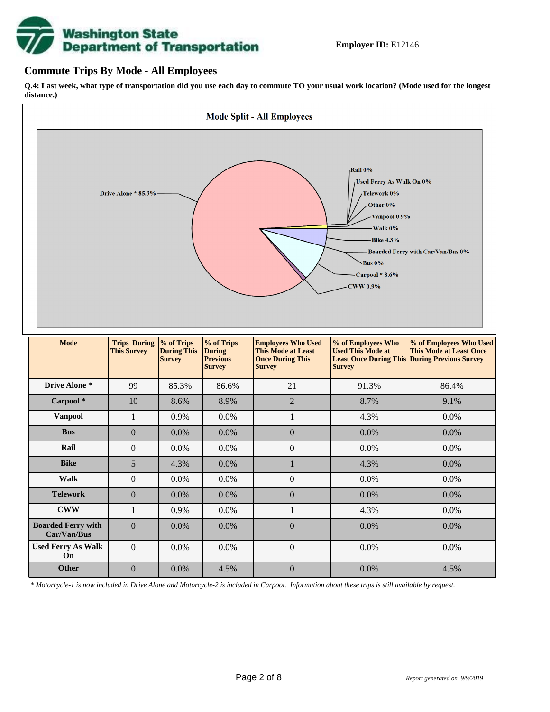# **Washington State<br>Department of Transportation**

## **Commute Trips By Mode - All Employees**

**Q.4: Last week, what type of transportation did you use each day to commute TO your usual work location? (Mode used for the longest distance.)**



*\* Motorcycle-1 is now included in Drive Alone and Motorcycle-2 is included in Carpool. Information about these trips is still available by request.*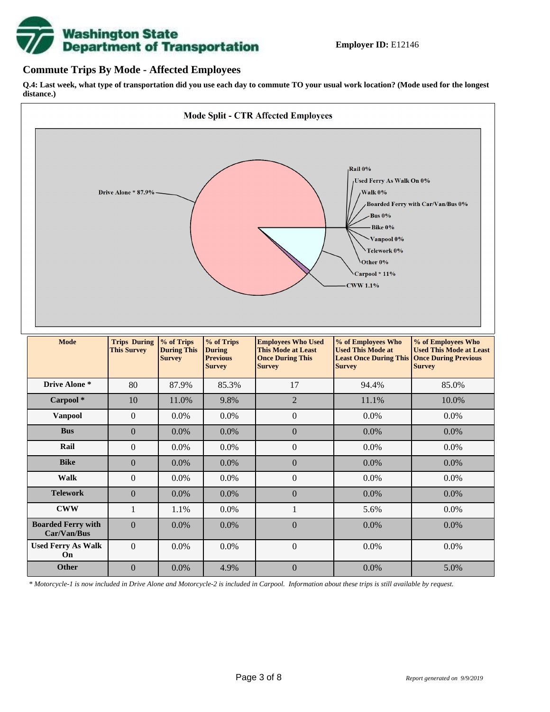

## **Commute Trips By Mode - Affected Employees**

**Q.4: Last week, what type of transportation did you use each day to commute TO your usual work location? (Mode used for the longest distance.)**



*\* Motorcycle-1 is now included in Drive Alone and Motorcycle-2 is included in Carpool. Information about these trips is still available by request.*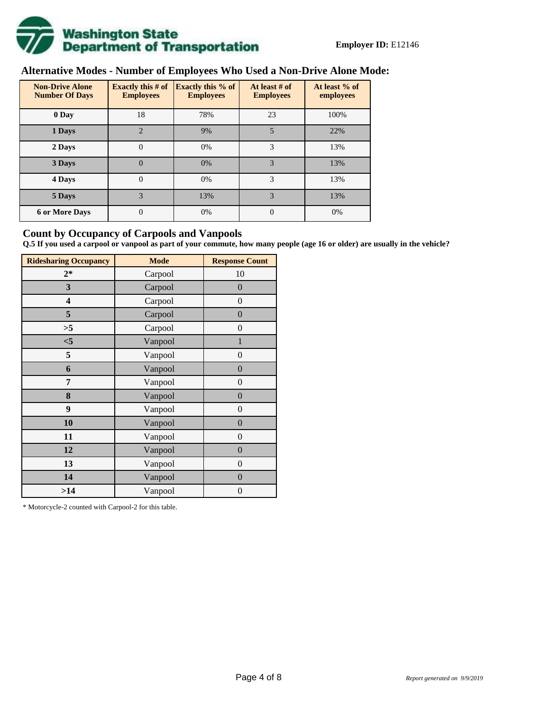

# **Alternative Modes - Number of Employees Who Used a Non-Drive Alone Mode:**

| <b>Non-Drive Alone</b><br><b>Number Of Days</b> | Exactly this $#$ of<br><b>Employees</b> | <b>Exactly this % of</b><br><b>Employees</b> | At least # of<br><b>Employees</b> | At least % of<br>employees |
|-------------------------------------------------|-----------------------------------------|----------------------------------------------|-----------------------------------|----------------------------|
| 0 Day                                           | 18                                      | 78%                                          | 23                                | 100%                       |
| 1 Days                                          | $\overline{2}$                          | 9%                                           | 5                                 | 22%                        |
| 2 Days                                          | $\overline{0}$                          | 0%                                           | 3                                 | 13%                        |
| 3 Days                                          | $\theta$                                | 0%                                           | 3                                 | 13%                        |
| 4 Days                                          | $\theta$                                | 0%                                           | 3                                 | 13%                        |
| 5 Days                                          | 3                                       | 13%                                          | 3                                 | 13%                        |
| <b>6 or More Days</b>                           | 0                                       | 0%                                           | $\theta$                          | 0%                         |

## **Count by Occupancy of Carpools and Vanpools**

**Q.5 If you used a carpool or vanpool as part of your commute, how many people (age 16 or older) are usually in the vehicle?**

| <b>Ridesharing Occupancy</b> | <b>Mode</b> | <b>Response Count</b> |
|------------------------------|-------------|-----------------------|
| $2*$                         | Carpool     | 10                    |
| 3                            | Carpool     | $\boldsymbol{0}$      |
| 4                            | Carpool     | $\boldsymbol{0}$      |
| 5                            | Carpool     | $\boldsymbol{0}$      |
| >5                           | Carpool     | $\overline{0}$        |
| $<$ 5                        | Vanpool     | $\mathbf{1}$          |
| 5                            | Vanpool     | $\boldsymbol{0}$      |
| 6                            | Vanpool     | $\boldsymbol{0}$      |
| 7                            | Vanpool     | $\boldsymbol{0}$      |
| 8                            | Vanpool     | $\boldsymbol{0}$      |
| 9                            | Vanpool     | $\boldsymbol{0}$      |
| 10                           | Vanpool     | $\overline{0}$        |
| 11                           | Vanpool     | $\overline{0}$        |
| 12                           | Vanpool     | $\boldsymbol{0}$      |
| 13                           | Vanpool     | $\boldsymbol{0}$      |
| 14                           | Vanpool     | $\overline{0}$        |
| >14                          | Vanpool     | $\boldsymbol{0}$      |

\* Motorcycle-2 counted with Carpool-2 for this table.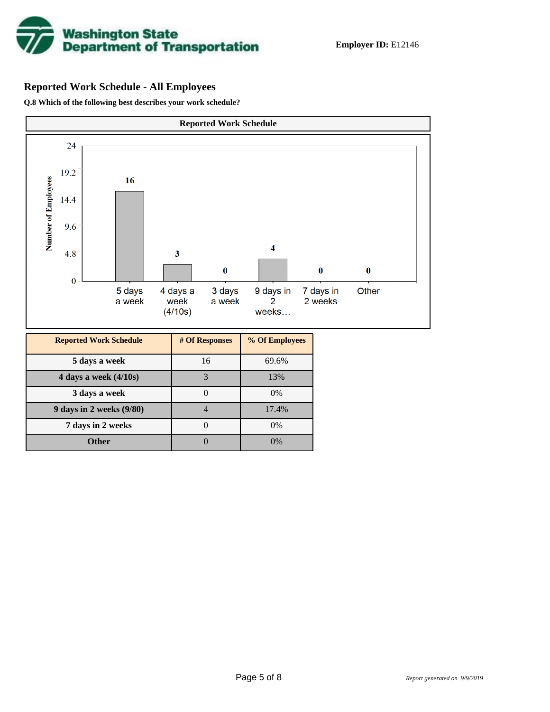

# **Reported Work Schedule - All Employees**

**Q.8 Which of the following best describes your work schedule?**

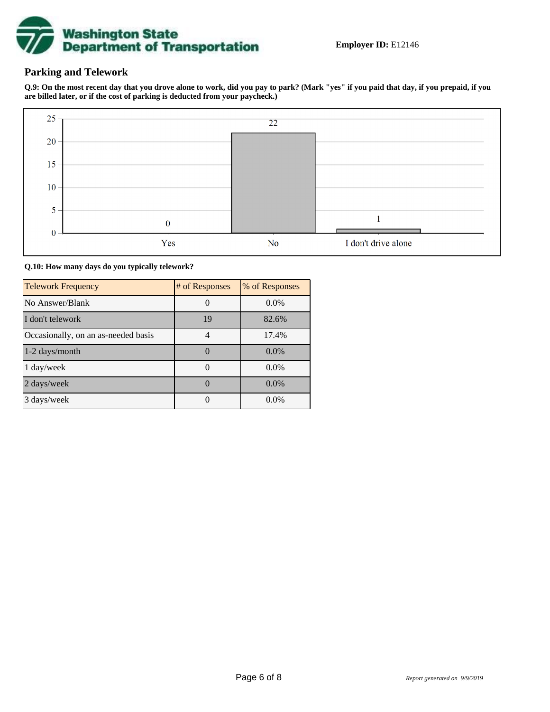

# **Parking and Telework**

**Q.9: On the most recent day that you drove alone to work, did you pay to park? (Mark "yes" if you paid that day, if you prepaid, if you are billed later, or if the cost of parking is deducted from your paycheck.)**



**Q.10: How many days do you typically telework?**

| <b>Telework Frequency</b>           | # of Responses | % of Responses |
|-------------------------------------|----------------|----------------|
| No Answer/Blank                     |                | $0.0\%$        |
| I don't telework                    | 19             | 82.6%          |
| Occasionally, on an as-needed basis |                | 17.4%          |
| 1-2 days/month                      |                | $0.0\%$        |
| 1 day/week                          |                | 0.0%           |
| 2 days/week                         |                | $0.0\%$        |
| 3 days/week                         |                | $0.0\%$        |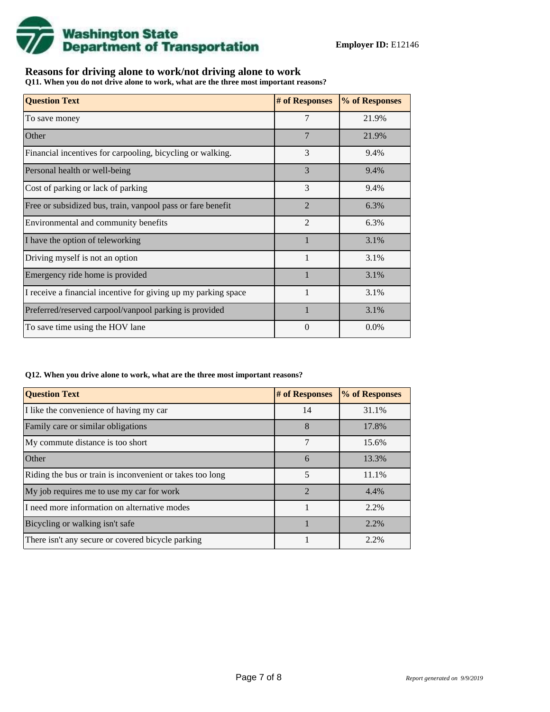

# **Reasons for driving alone to work/not driving alone to work**

**Q11. When you do not drive alone to work, what are the three most important reasons?**

| <b>Question Text</b>                                           | # of Responses | % of Responses |
|----------------------------------------------------------------|----------------|----------------|
| To save money                                                  | 7              | 21.9%          |
| Other                                                          | $\overline{7}$ | 21.9%          |
| Financial incentives for carpooling, bicycling or walking.     | 3              | 9.4%           |
| Personal health or well-being                                  | 3              | 9.4%           |
| Cost of parking or lack of parking                             | 3              | 9.4%           |
| Free or subsidized bus, train, vanpool pass or fare benefit    | $\mathcal{D}$  | 6.3%           |
| Environmental and community benefits                           | $\overline{2}$ | 6.3%           |
| I have the option of teleworking                               |                | 3.1%           |
| Driving myself is not an option                                | $\mathbf{1}$   | 3.1%           |
| Emergency ride home is provided                                |                | 3.1%           |
| I receive a financial incentive for giving up my parking space |                | 3.1%           |
| Preferred/reserved carpool/vanpool parking is provided         | $\mathbf{1}$   | 3.1%           |
| To save time using the HOV lane                                | $\Omega$       | $0.0\%$        |

#### **Q12. When you drive alone to work, what are the three most important reasons?**

| <b>Question Text</b>                                      | # of Responses | % of Responses |
|-----------------------------------------------------------|----------------|----------------|
| I like the convenience of having my car                   | 14             | 31.1%          |
| Family care or similar obligations                        | 8              | 17.8%          |
| My commute distance is too short                          | 7              | 15.6%          |
| Other                                                     | 6              | 13.3%          |
| Riding the bus or train is inconvenient or takes too long | 5              | 11.1%          |
| My job requires me to use my car for work                 | $\mathfrak{D}$ | 4.4%           |
| I need more information on alternative modes              |                | 2.2%           |
| Bicycling or walking isn't safe                           |                | 2.2%           |
| There isn't any secure or covered bicycle parking         |                | 2.2%           |